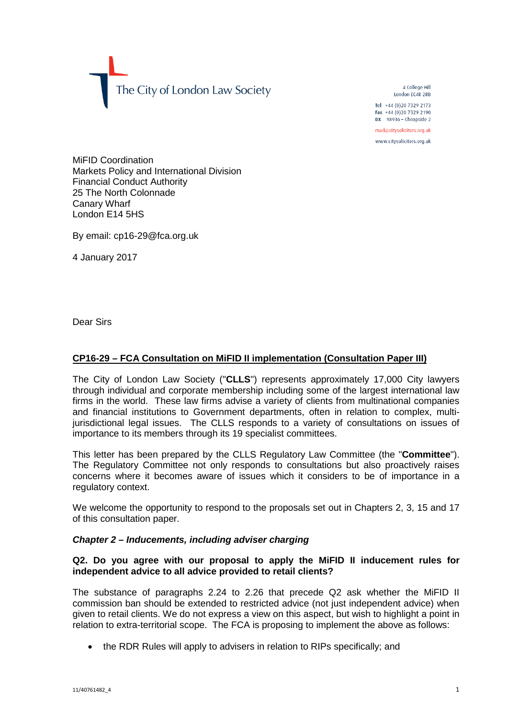The City of London Law Society

4 College Hill London FC4R 2RB

Tel +44 (0)20 7329 2173 Fax +44 (0) 20 7329 2190 DX  $98936$  - Cheapside 2

mail@citysolicitors.org.uk

www.citysolicitors.org.uk

MiFID Coordination Markets Policy and International Division Financial Conduct Authority 25 The North Colonnade Canary Wharf London E14 5HS

By email: cp16-29@fca.org.uk

4 January 2017

Dear Sirs

# **CP16-29 – FCA Consultation on MiFID II implementation (Consultation Paper III)**

The City of London Law Society ("**CLLS**") represents approximately 17,000 City lawyers through individual and corporate membership including some of the largest international law firms in the world. These law firms advise a variety of clients from multinational companies and financial institutions to Government departments, often in relation to complex, multijurisdictional legal issues. The CLLS responds to a variety of consultations on issues of importance to its members through its 19 specialist committees.

This letter has been prepared by the CLLS Regulatory Law Committee (the "**Committee**"). The Regulatory Committee not only responds to consultations but also proactively raises concerns where it becomes aware of issues which it considers to be of importance in a regulatory context.

We welcome the opportunity to respond to the proposals set out in Chapters 2, 3, 15 and 17 of this consultation paper.

### *Chapter 2 – Inducements, including adviser charging*

# **Q2. Do you agree with our proposal to apply the MiFID II inducement rules for independent advice to all advice provided to retail clients?**

The substance of paragraphs 2.24 to 2.26 that precede Q2 ask whether the MiFID II commission ban should be extended to restricted advice (not just independent advice) when given to retail clients. We do not express a view on this aspect, but wish to highlight a point in relation to extra-territorial scope. The FCA is proposing to implement the above as follows:

• the RDR Rules will apply to advisers in relation to RIPs specifically; and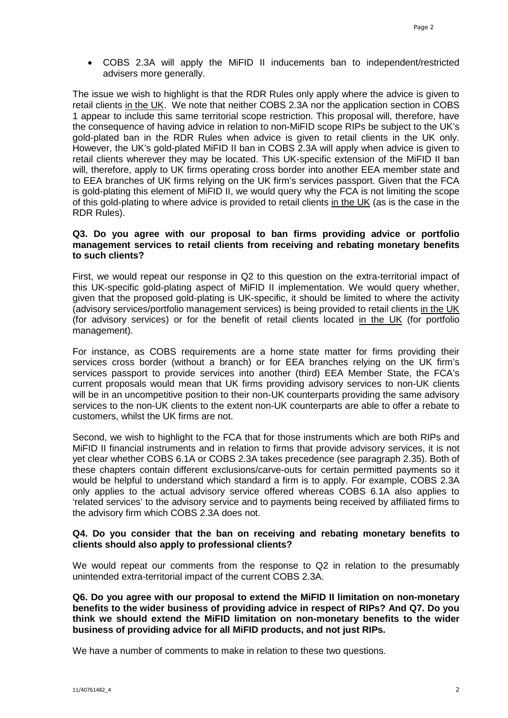• COBS 2.3A will apply the MiFID II inducements ban to independent/restricted advisers more generally.

The issue we wish to highlight is that the RDR Rules only apply where the advice is given to retail clients in the UK. We note that neither COBS 2.3A nor the application section in COBS 1 appear to include this same territorial scope restriction. This proposal will, therefore, have the consequence of having advice in relation to non-MiFID scope RIPs be subject to the UK's gold-plated ban in the RDR Rules when advice is given to retail clients in the UK only. However, the UK's gold-plated MiFID II ban in COBS 2.3A will apply when advice is given to retail clients wherever they may be located. This UK-specific extension of the MiFID II ban will, therefore, apply to UK firms operating cross border into another EEA member state and to EEA branches of UK firms relying on the UK firm's services passport. Given that the FCA is gold-plating this element of MiFID II, we would query why the FCA is not limiting the scope of this gold-plating to where advice is provided to retail clients in the UK (as is the case in the RDR Rules).

### **Q3. Do you agree with our proposal to ban firms providing advice or portfolio management services to retail clients from receiving and rebating monetary benefits to such clients?**

First, we would repeat our response in Q2 to this question on the extra-territorial impact of this UK-specific gold-plating aspect of MiFID II implementation. We would query whether, given that the proposed gold-plating is UK-specific, it should be limited to where the activity (advisory services/portfolio management services) is being provided to retail clients in the UK (for advisory services) or for the benefit of retail clients located in the UK (for portfolio management).

For instance, as COBS requirements are a home state matter for firms providing their services cross border (without a branch) or for EEA branches relying on the UK firm's services passport to provide services into another (third) EEA Member State, the FCA's current proposals would mean that UK firms providing advisory services to non-UK clients will be in an uncompetitive position to their non-UK counterparts providing the same advisory services to the non-UK clients to the extent non-UK counterparts are able to offer a rebate to customers, whilst the UK firms are not.

Second, we wish to highlight to the FCA that for those instruments which are both RIPs and MiFID II financial instruments and in relation to firms that provide advisory services, it is not yet clear whether COBS 6.1A or COBS 2.3A takes precedence (see paragraph 2.35). Both of these chapters contain different exclusions/carve-outs for certain permitted payments so it would be helpful to understand which standard a firm is to apply. For example, COBS 2.3A only applies to the actual advisory service offered whereas COBS 6.1A also applies to 'related services' to the advisory service and to payments being received by affiliated firms to the advisory firm which COBS 2.3A does not.

# **Q4. Do you consider that the ban on receiving and rebating monetary benefits to clients should also apply to professional clients?**

We would repeat our comments from the response to Q2 in relation to the presumably unintended extra-territorial impact of the current COBS 2.3A.

**Q6. Do you agree with our proposal to extend the MiFID II limitation on non-monetary benefits to the wider business of providing advice in respect of RIPs? And Q7. Do you think we should extend the MiFID limitation on non-monetary benefits to the wider business of providing advice for all MiFID products, and not just RIPs.**

We have a number of comments to make in relation to these two questions.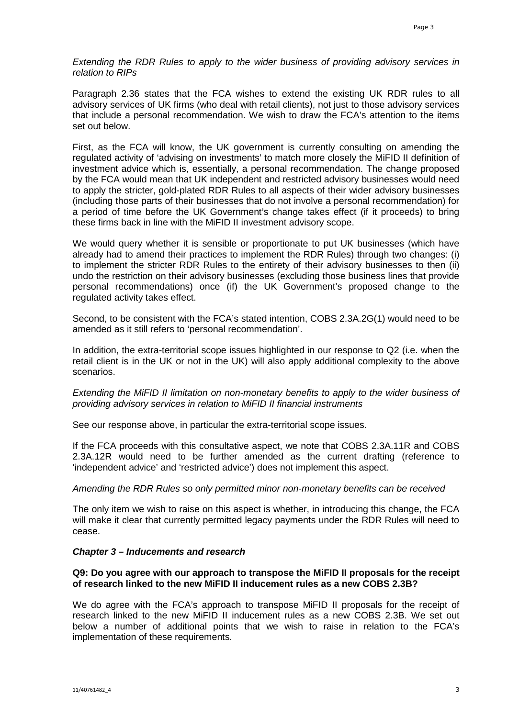*Extending the RDR Rules to apply to the wider business of providing advisory services in relation to RIPs*

Paragraph 2.36 states that the FCA wishes to extend the existing UK RDR rules to all advisory services of UK firms (who deal with retail clients), not just to those advisory services that include a personal recommendation. We wish to draw the FCA's attention to the items set out below.

First, as the FCA will know, the UK government is currently consulting on amending the regulated activity of 'advising on investments' to match more closely the MiFID II definition of investment advice which is, essentially, a personal recommendation. The change proposed by the FCA would mean that UK independent and restricted advisory businesses would need to apply the stricter, gold-plated RDR Rules to all aspects of their wider advisory businesses (including those parts of their businesses that do not involve a personal recommendation) for a period of time before the UK Government's change takes effect (if it proceeds) to bring these firms back in line with the MiFID II investment advisory scope.

We would query whether it is sensible or proportionate to put UK businesses (which have already had to amend their practices to implement the RDR Rules) through two changes: (i) to implement the stricter RDR Rules to the entirety of their advisory businesses to then (ii) undo the restriction on their advisory businesses (excluding those business lines that provide personal recommendations) once (if) the UK Government's proposed change to the regulated activity takes effect.

Second, to be consistent with the FCA's stated intention, COBS 2.3A.2G(1) would need to be amended as it still refers to 'personal recommendation'.

In addition, the extra-territorial scope issues highlighted in our response to Q2 (i.e. when the retail client is in the UK or not in the UK) will also apply additional complexity to the above scenarios.

*Extending the MiFID II limitation on non-monetary benefits to apply to the wider business of providing advisory services in relation to MiFID II financial instruments*

See our response above, in particular the extra-territorial scope issues.

If the FCA proceeds with this consultative aspect, we note that COBS 2.3A.11R and COBS 2.3A.12R would need to be further amended as the current drafting (reference to 'independent advice' and 'restricted advice') does not implement this aspect.

### *Amending the RDR Rules so only permitted minor non-monetary benefits can be received*

The only item we wish to raise on this aspect is whether, in introducing this change, the FCA will make it clear that currently permitted legacy payments under the RDR Rules will need to cease.

### *Chapter 3 – Inducements and research*

# **Q9: Do you agree with our approach to transpose the MiFID II proposals for the receipt of research linked to the new MiFID II inducement rules as a new COBS 2.3B?**

We do agree with the FCA's approach to transpose MiFID II proposals for the receipt of research linked to the new MiFID II inducement rules as a new COBS 2.3B. We set out below a number of additional points that we wish to raise in relation to the FCA's implementation of these requirements.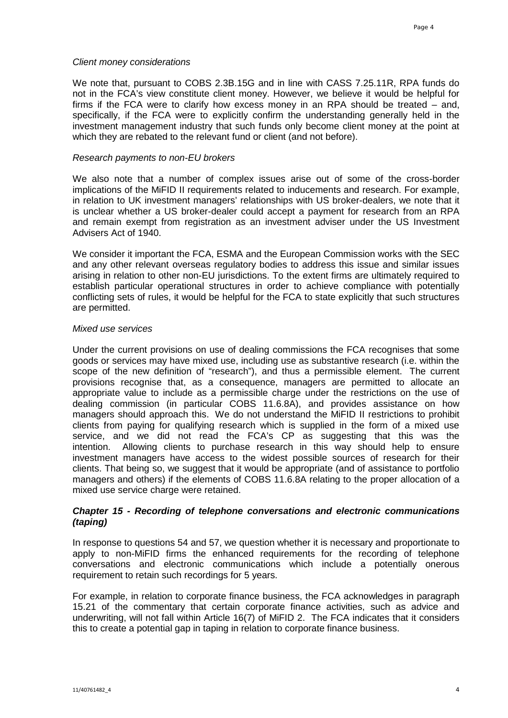#### *Client money considerations*

We note that, pursuant to COBS 2.3B.15G and in line with CASS 7.25.11R, RPA funds do not in the FCA's view constitute client money. However, we believe it would be helpful for firms if the FCA were to clarify how excess money in an RPA should be treated – and, specifically, if the FCA were to explicitly confirm the understanding generally held in the investment management industry that such funds only become client money at the point at which they are rebated to the relevant fund or client (and not before).

#### *Research payments to non-EU brokers*

We also note that a number of complex issues arise out of some of the cross-border implications of the MiFID II requirements related to inducements and research. For example, in relation to UK investment managers' relationships with US broker-dealers, we note that it is unclear whether a US broker-dealer could accept a payment for research from an RPA and remain exempt from registration as an investment adviser under the US Investment Advisers Act of 1940.

We consider it important the FCA, ESMA and the European Commission works with the SEC and any other relevant overseas regulatory bodies to address this issue and similar issues arising in relation to other non-EU jurisdictions. To the extent firms are ultimately required to establish particular operational structures in order to achieve compliance with potentially conflicting sets of rules, it would be helpful for the FCA to state explicitly that such structures are permitted.

#### *Mixed use services*

Under the current provisions on use of dealing commissions the FCA recognises that some goods or services may have mixed use, including use as substantive research (i.e. within the scope of the new definition of "research"), and thus a permissible element. The current provisions recognise that, as a consequence, managers are permitted to allocate an appropriate value to include as a permissible charge under the restrictions on the use of dealing commission (in particular COBS 11.6.8A), and provides assistance on how managers should approach this. We do not understand the MiFID II restrictions to prohibit clients from paying for qualifying research which is supplied in the form of a mixed use service, and we did not read the FCA's CP as suggesting that this was the intention. Allowing clients to purchase research in this way should help to ensure investment managers have access to the widest possible sources of research for their clients. That being so, we suggest that it would be appropriate (and of assistance to portfolio managers and others) if the elements of COBS 11.6.8A relating to the proper allocation of a mixed use service charge were retained.

# *Chapter 15 - Recording of telephone conversations and electronic communications (taping)*

In response to questions 54 and 57, we question whether it is necessary and proportionate to apply to non-MiFID firms the enhanced requirements for the recording of telephone conversations and electronic communications which include a potentially onerous requirement to retain such recordings for 5 years.

For example, in relation to corporate finance business, the FCA acknowledges in paragraph 15.21 of the commentary that certain corporate finance activities, such as advice and underwriting, will not fall within Article 16(7) of MiFID 2. The FCA indicates that it considers this to create a potential gap in taping in relation to corporate finance business.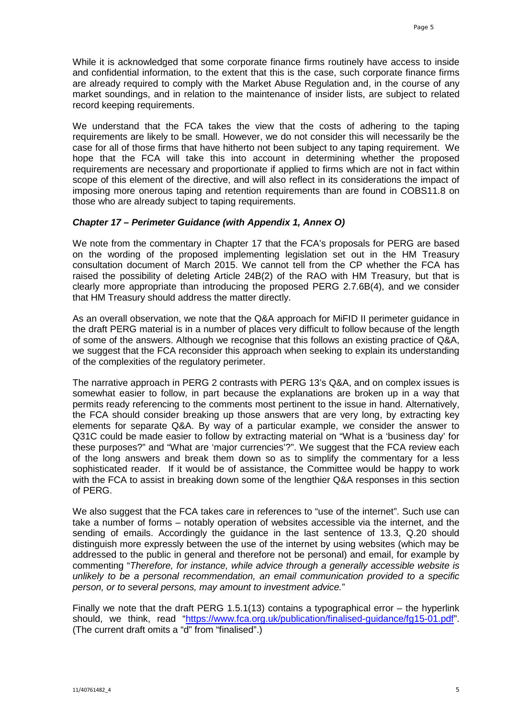While it is acknowledged that some corporate finance firms routinely have access to inside and confidential information, to the extent that this is the case, such corporate finance firms are already required to comply with the Market Abuse Regulation and, in the course of any market soundings, and in relation to the maintenance of insider lists, are subject to related record keeping requirements.

We understand that the FCA takes the view that the costs of adhering to the taping requirements are likely to be small. However, we do not consider this will necessarily be the case for all of those firms that have hitherto not been subject to any taping requirement. We hope that the FCA will take this into account in determining whether the proposed requirements are necessary and proportionate if applied to firms which are not in fact within scope of this element of the directive, and will also reflect in its considerations the impact of imposing more onerous taping and retention requirements than are found in COBS11.8 on those who are already subject to taping requirements.

# *Chapter 17 – Perimeter Guidance (with Appendix 1, Annex O)*

We note from the commentary in Chapter 17 that the FCA's proposals for PERG are based on the wording of the proposed implementing legislation set out in the HM Treasury consultation document of March 2015. We cannot tell from the CP whether the FCA has raised the possibility of deleting Article 24B(2) of the RAO with HM Treasury, but that is clearly more appropriate than introducing the proposed PERG 2.7.6B(4), and we consider that HM Treasury should address the matter directly.

As an overall observation, we note that the Q&A approach for MiFID II perimeter guidance in the draft PERG material is in a number of places very difficult to follow because of the length of some of the answers. Although we recognise that this follows an existing practice of Q&A, we suggest that the FCA reconsider this approach when seeking to explain its understanding of the complexities of the regulatory perimeter.

The narrative approach in PERG 2 contrasts with PERG 13's Q&A, and on complex issues is somewhat easier to follow, in part because the explanations are broken up in a way that permits ready referencing to the comments most pertinent to the issue in hand. Alternatively, the FCA should consider breaking up those answers that are very long, by extracting key elements for separate Q&A. By way of a particular example, we consider the answer to Q31C could be made easier to follow by extracting material on "What is a 'business day' for these purposes?" and "What are 'major currencies'?". We suggest that the FCA review each of the long answers and break them down so as to simplify the commentary for a less sophisticated reader. If it would be of assistance, the Committee would be happy to work with the FCA to assist in breaking down some of the lengthier Q&A responses in this section of PERG.

We also suggest that the FCA takes care in references to "use of the internet". Such use can take a number of forms – notably operation of websites accessible via the internet, and the sending of emails. Accordingly the guidance in the last sentence of 13.3, Q.20 should distinguish more expressly between the use of the internet by using websites (which may be addressed to the public in general and therefore not be personal) and email, for example by commenting "*Therefore, for instance, while advice through a generally accessible website is unlikely to be a personal recommendation, an email communication provided to a specific person, or to several persons, may amount to investment advice.*"

Finally we note that the draft PERG 1.5.1(13) contains a typographical error – the hyperlink should, we think, read ["https://www.fca.org.uk/publication/finalised-guidance/fg15-01.pdf"](https://www.fca.org.uk/publication/finalised-guidance/fg15-01.pdf). (The current draft omits a " $\overline{d}$ " from "finalised".)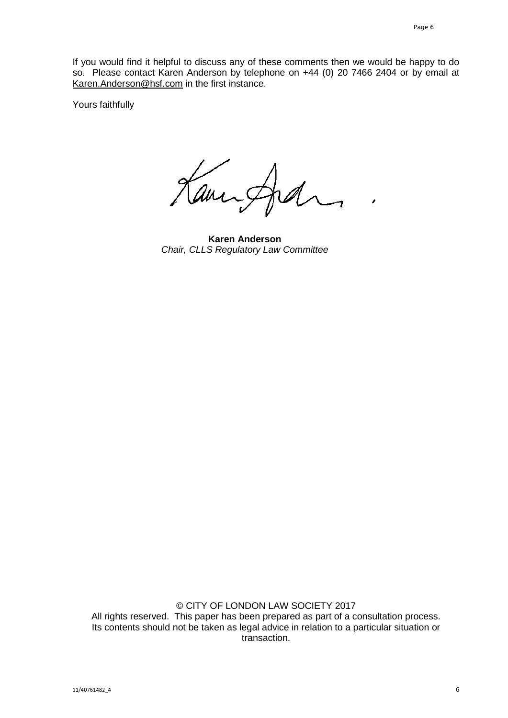If you would find it helpful to discuss any of these comments then we would be happy to do so. Please contact Karen Anderson by telephone on +44 (0) 20 7466 2404 or by email at [Karen.Anderson@hsf.com](mailto:Karen.Anderson@hsf.com) in the first instance.

Yours faithfully

am

**Karen Anderson** *Chair, CLLS Regulatory Law Committee*

© CITY OF LONDON LAW SOCIETY 2017 All rights reserved. This paper has been prepared as part of a consultation process. Its contents should not be taken as legal advice in relation to a particular situation or transaction.